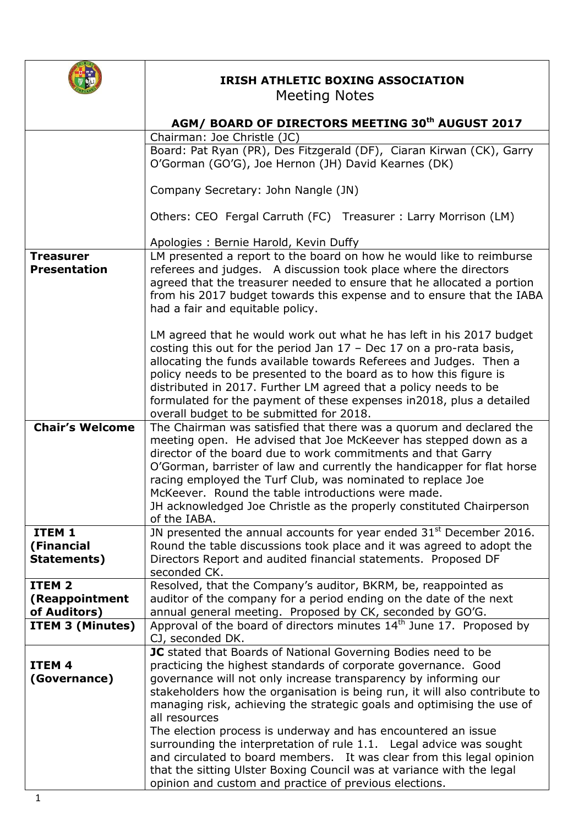

## **IRISH ATHLETIC BOXING ASSOCIATION**  Meeting Notes

| Chairman: Joe Christle (JC)<br>Board: Pat Ryan (PR), Des Fitzgerald (DF), Ciaran Kirwan (CK), Garry<br>O'Gorman (GO'G), Joe Hernon (JH) David Kearnes (DK)<br>Company Secretary: John Nangle (JN)<br>Others: CEO Fergal Carruth (FC) Treasurer: Larry Morrison (LM)<br>Apologies: Bernie Harold, Kevin Duffy<br>LM presented a report to the board on how he would like to reimburse<br><b>Treasurer</b><br>referees and judges. A discussion took place where the directors<br><b>Presentation</b><br>agreed that the treasurer needed to ensure that he allocated a portion<br>from his 2017 budget towards this expense and to ensure that the IABA<br>had a fair and equitable policy.<br>LM agreed that he would work out what he has left in his 2017 budget<br>costing this out for the period Jan $17$ – Dec 17 on a pro-rata basis,<br>allocating the funds available towards Referees and Judges. Then a<br>policy needs to be presented to the board as to how this figure is<br>distributed in 2017. Further LM agreed that a policy needs to be<br>formulated for the payment of these expenses in 2018, plus a detailed<br>overall budget to be submitted for 2018.<br><b>Chair's Welcome</b><br>The Chairman was satisfied that there was a quorum and declared the<br>meeting open. He advised that Joe McKeever has stepped down as a<br>director of the board due to work commitments and that Garry<br>O'Gorman, barrister of law and currently the handicapper for flat horse<br>racing employed the Turf Club, was nominated to replace Joe<br>McKeever. Round the table introductions were made.<br>JH acknowledged Joe Christle as the properly constituted Chairperson<br>of the IABA.<br>JN presented the annual accounts for year ended $31st$ December 2016.<br>ITEM <sub>1</sub><br>Round the table discussions took place and it was agreed to adopt the<br>(Financial<br>Directors Report and audited financial statements. Proposed DF<br>Statements)<br>seconded CK.<br>Resolved, that the Company's auditor, BKRM, be, reappointed as<br>ITEM <sub>2</sub><br>auditor of the company for a period ending on the date of the next<br>(Reappointment<br>annual general meeting. Proposed by CK, seconded by GO'G.<br>of Auditors)<br>Approval of the board of directors minutes $14th$ June 17. Proposed by<br>ITEM 3 (Minutes)<br>CJ, seconded DK.<br>JC stated that Boards of National Governing Bodies need to be<br>practicing the highest standards of corporate governance. Good<br>ITEM <sub>4</sub><br>governance will not only increase transparency by informing our<br>(Governance)<br>stakeholders how the organisation is being run, it will also contribute to<br>managing risk, achieving the strategic goals and optimising the use of<br>all resources<br>The election process is underway and has encountered an issue<br>surrounding the interpretation of rule 1.1. Legal advice was sought<br>and circulated to board members. It was clear from this legal opinion<br>that the sitting Ulster Boxing Council was at variance with the legal | AGM/ BOARD OF DIRECTORS MEETING 30 <sup>th</sup> AUGUST 2017 |
|--------------------------------------------------------------------------------------------------------------------------------------------------------------------------------------------------------------------------------------------------------------------------------------------------------------------------------------------------------------------------------------------------------------------------------------------------------------------------------------------------------------------------------------------------------------------------------------------------------------------------------------------------------------------------------------------------------------------------------------------------------------------------------------------------------------------------------------------------------------------------------------------------------------------------------------------------------------------------------------------------------------------------------------------------------------------------------------------------------------------------------------------------------------------------------------------------------------------------------------------------------------------------------------------------------------------------------------------------------------------------------------------------------------------------------------------------------------------------------------------------------------------------------------------------------------------------------------------------------------------------------------------------------------------------------------------------------------------------------------------------------------------------------------------------------------------------------------------------------------------------------------------------------------------------------------------------------------------------------------------------------------------------------------------------------------------------------------------------------------------------------------------------------------------------------------------------------------------------------------------------------------------------------------------------------------------------------------------------------------------------------------------------------------------------------------------------------------------------------------------------------------------------------------------------------------------------------------------------------------------------------------------------------------------------------------------------------------------------------------------------------------------------------------------------------------------------------------------------------------------------------------------------------------------------------------------------------------------------------------------------------------------------------------------------------------------------------------------------|--------------------------------------------------------------|
|                                                                                                                                                                                                                                                                                                                                                                                                                                                                                                                                                                                                                                                                                                                                                                                                                                                                                                                                                                                                                                                                                                                                                                                                                                                                                                                                                                                                                                                                                                                                                                                                                                                                                                                                                                                                                                                                                                                                                                                                                                                                                                                                                                                                                                                                                                                                                                                                                                                                                                                                                                                                                                                                                                                                                                                                                                                                                                                                                                                                                                                                                                  |                                                              |
|                                                                                                                                                                                                                                                                                                                                                                                                                                                                                                                                                                                                                                                                                                                                                                                                                                                                                                                                                                                                                                                                                                                                                                                                                                                                                                                                                                                                                                                                                                                                                                                                                                                                                                                                                                                                                                                                                                                                                                                                                                                                                                                                                                                                                                                                                                                                                                                                                                                                                                                                                                                                                                                                                                                                                                                                                                                                                                                                                                                                                                                                                                  |                                                              |
|                                                                                                                                                                                                                                                                                                                                                                                                                                                                                                                                                                                                                                                                                                                                                                                                                                                                                                                                                                                                                                                                                                                                                                                                                                                                                                                                                                                                                                                                                                                                                                                                                                                                                                                                                                                                                                                                                                                                                                                                                                                                                                                                                                                                                                                                                                                                                                                                                                                                                                                                                                                                                                                                                                                                                                                                                                                                                                                                                                                                                                                                                                  |                                                              |
|                                                                                                                                                                                                                                                                                                                                                                                                                                                                                                                                                                                                                                                                                                                                                                                                                                                                                                                                                                                                                                                                                                                                                                                                                                                                                                                                                                                                                                                                                                                                                                                                                                                                                                                                                                                                                                                                                                                                                                                                                                                                                                                                                                                                                                                                                                                                                                                                                                                                                                                                                                                                                                                                                                                                                                                                                                                                                                                                                                                                                                                                                                  |                                                              |
|                                                                                                                                                                                                                                                                                                                                                                                                                                                                                                                                                                                                                                                                                                                                                                                                                                                                                                                                                                                                                                                                                                                                                                                                                                                                                                                                                                                                                                                                                                                                                                                                                                                                                                                                                                                                                                                                                                                                                                                                                                                                                                                                                                                                                                                                                                                                                                                                                                                                                                                                                                                                                                                                                                                                                                                                                                                                                                                                                                                                                                                                                                  |                                                              |
|                                                                                                                                                                                                                                                                                                                                                                                                                                                                                                                                                                                                                                                                                                                                                                                                                                                                                                                                                                                                                                                                                                                                                                                                                                                                                                                                                                                                                                                                                                                                                                                                                                                                                                                                                                                                                                                                                                                                                                                                                                                                                                                                                                                                                                                                                                                                                                                                                                                                                                                                                                                                                                                                                                                                                                                                                                                                                                                                                                                                                                                                                                  |                                                              |
|                                                                                                                                                                                                                                                                                                                                                                                                                                                                                                                                                                                                                                                                                                                                                                                                                                                                                                                                                                                                                                                                                                                                                                                                                                                                                                                                                                                                                                                                                                                                                                                                                                                                                                                                                                                                                                                                                                                                                                                                                                                                                                                                                                                                                                                                                                                                                                                                                                                                                                                                                                                                                                                                                                                                                                                                                                                                                                                                                                                                                                                                                                  |                                                              |
|                                                                                                                                                                                                                                                                                                                                                                                                                                                                                                                                                                                                                                                                                                                                                                                                                                                                                                                                                                                                                                                                                                                                                                                                                                                                                                                                                                                                                                                                                                                                                                                                                                                                                                                                                                                                                                                                                                                                                                                                                                                                                                                                                                                                                                                                                                                                                                                                                                                                                                                                                                                                                                                                                                                                                                                                                                                                                                                                                                                                                                                                                                  |                                                              |
|                                                                                                                                                                                                                                                                                                                                                                                                                                                                                                                                                                                                                                                                                                                                                                                                                                                                                                                                                                                                                                                                                                                                                                                                                                                                                                                                                                                                                                                                                                                                                                                                                                                                                                                                                                                                                                                                                                                                                                                                                                                                                                                                                                                                                                                                                                                                                                                                                                                                                                                                                                                                                                                                                                                                                                                                                                                                                                                                                                                                                                                                                                  |                                                              |
|                                                                                                                                                                                                                                                                                                                                                                                                                                                                                                                                                                                                                                                                                                                                                                                                                                                                                                                                                                                                                                                                                                                                                                                                                                                                                                                                                                                                                                                                                                                                                                                                                                                                                                                                                                                                                                                                                                                                                                                                                                                                                                                                                                                                                                                                                                                                                                                                                                                                                                                                                                                                                                                                                                                                                                                                                                                                                                                                                                                                                                                                                                  |                                                              |
|                                                                                                                                                                                                                                                                                                                                                                                                                                                                                                                                                                                                                                                                                                                                                                                                                                                                                                                                                                                                                                                                                                                                                                                                                                                                                                                                                                                                                                                                                                                                                                                                                                                                                                                                                                                                                                                                                                                                                                                                                                                                                                                                                                                                                                                                                                                                                                                                                                                                                                                                                                                                                                                                                                                                                                                                                                                                                                                                                                                                                                                                                                  |                                                              |
|                                                                                                                                                                                                                                                                                                                                                                                                                                                                                                                                                                                                                                                                                                                                                                                                                                                                                                                                                                                                                                                                                                                                                                                                                                                                                                                                                                                                                                                                                                                                                                                                                                                                                                                                                                                                                                                                                                                                                                                                                                                                                                                                                                                                                                                                                                                                                                                                                                                                                                                                                                                                                                                                                                                                                                                                                                                                                                                                                                                                                                                                                                  |                                                              |
|                                                                                                                                                                                                                                                                                                                                                                                                                                                                                                                                                                                                                                                                                                                                                                                                                                                                                                                                                                                                                                                                                                                                                                                                                                                                                                                                                                                                                                                                                                                                                                                                                                                                                                                                                                                                                                                                                                                                                                                                                                                                                                                                                                                                                                                                                                                                                                                                                                                                                                                                                                                                                                                                                                                                                                                                                                                                                                                                                                                                                                                                                                  |                                                              |
|                                                                                                                                                                                                                                                                                                                                                                                                                                                                                                                                                                                                                                                                                                                                                                                                                                                                                                                                                                                                                                                                                                                                                                                                                                                                                                                                                                                                                                                                                                                                                                                                                                                                                                                                                                                                                                                                                                                                                                                                                                                                                                                                                                                                                                                                                                                                                                                                                                                                                                                                                                                                                                                                                                                                                                                                                                                                                                                                                                                                                                                                                                  |                                                              |
|                                                                                                                                                                                                                                                                                                                                                                                                                                                                                                                                                                                                                                                                                                                                                                                                                                                                                                                                                                                                                                                                                                                                                                                                                                                                                                                                                                                                                                                                                                                                                                                                                                                                                                                                                                                                                                                                                                                                                                                                                                                                                                                                                                                                                                                                                                                                                                                                                                                                                                                                                                                                                                                                                                                                                                                                                                                                                                                                                                                                                                                                                                  |                                                              |
|                                                                                                                                                                                                                                                                                                                                                                                                                                                                                                                                                                                                                                                                                                                                                                                                                                                                                                                                                                                                                                                                                                                                                                                                                                                                                                                                                                                                                                                                                                                                                                                                                                                                                                                                                                                                                                                                                                                                                                                                                                                                                                                                                                                                                                                                                                                                                                                                                                                                                                                                                                                                                                                                                                                                                                                                                                                                                                                                                                                                                                                                                                  |                                                              |
|                                                                                                                                                                                                                                                                                                                                                                                                                                                                                                                                                                                                                                                                                                                                                                                                                                                                                                                                                                                                                                                                                                                                                                                                                                                                                                                                                                                                                                                                                                                                                                                                                                                                                                                                                                                                                                                                                                                                                                                                                                                                                                                                                                                                                                                                                                                                                                                                                                                                                                                                                                                                                                                                                                                                                                                                                                                                                                                                                                                                                                                                                                  |                                                              |
|                                                                                                                                                                                                                                                                                                                                                                                                                                                                                                                                                                                                                                                                                                                                                                                                                                                                                                                                                                                                                                                                                                                                                                                                                                                                                                                                                                                                                                                                                                                                                                                                                                                                                                                                                                                                                                                                                                                                                                                                                                                                                                                                                                                                                                                                                                                                                                                                                                                                                                                                                                                                                                                                                                                                                                                                                                                                                                                                                                                                                                                                                                  |                                                              |
|                                                                                                                                                                                                                                                                                                                                                                                                                                                                                                                                                                                                                                                                                                                                                                                                                                                                                                                                                                                                                                                                                                                                                                                                                                                                                                                                                                                                                                                                                                                                                                                                                                                                                                                                                                                                                                                                                                                                                                                                                                                                                                                                                                                                                                                                                                                                                                                                                                                                                                                                                                                                                                                                                                                                                                                                                                                                                                                                                                                                                                                                                                  |                                                              |
|                                                                                                                                                                                                                                                                                                                                                                                                                                                                                                                                                                                                                                                                                                                                                                                                                                                                                                                                                                                                                                                                                                                                                                                                                                                                                                                                                                                                                                                                                                                                                                                                                                                                                                                                                                                                                                                                                                                                                                                                                                                                                                                                                                                                                                                                                                                                                                                                                                                                                                                                                                                                                                                                                                                                                                                                                                                                                                                                                                                                                                                                                                  |                                                              |
|                                                                                                                                                                                                                                                                                                                                                                                                                                                                                                                                                                                                                                                                                                                                                                                                                                                                                                                                                                                                                                                                                                                                                                                                                                                                                                                                                                                                                                                                                                                                                                                                                                                                                                                                                                                                                                                                                                                                                                                                                                                                                                                                                                                                                                                                                                                                                                                                                                                                                                                                                                                                                                                                                                                                                                                                                                                                                                                                                                                                                                                                                                  |                                                              |
|                                                                                                                                                                                                                                                                                                                                                                                                                                                                                                                                                                                                                                                                                                                                                                                                                                                                                                                                                                                                                                                                                                                                                                                                                                                                                                                                                                                                                                                                                                                                                                                                                                                                                                                                                                                                                                                                                                                                                                                                                                                                                                                                                                                                                                                                                                                                                                                                                                                                                                                                                                                                                                                                                                                                                                                                                                                                                                                                                                                                                                                                                                  |                                                              |
|                                                                                                                                                                                                                                                                                                                                                                                                                                                                                                                                                                                                                                                                                                                                                                                                                                                                                                                                                                                                                                                                                                                                                                                                                                                                                                                                                                                                                                                                                                                                                                                                                                                                                                                                                                                                                                                                                                                                                                                                                                                                                                                                                                                                                                                                                                                                                                                                                                                                                                                                                                                                                                                                                                                                                                                                                                                                                                                                                                                                                                                                                                  |                                                              |
|                                                                                                                                                                                                                                                                                                                                                                                                                                                                                                                                                                                                                                                                                                                                                                                                                                                                                                                                                                                                                                                                                                                                                                                                                                                                                                                                                                                                                                                                                                                                                                                                                                                                                                                                                                                                                                                                                                                                                                                                                                                                                                                                                                                                                                                                                                                                                                                                                                                                                                                                                                                                                                                                                                                                                                                                                                                                                                                                                                                                                                                                                                  |                                                              |
|                                                                                                                                                                                                                                                                                                                                                                                                                                                                                                                                                                                                                                                                                                                                                                                                                                                                                                                                                                                                                                                                                                                                                                                                                                                                                                                                                                                                                                                                                                                                                                                                                                                                                                                                                                                                                                                                                                                                                                                                                                                                                                                                                                                                                                                                                                                                                                                                                                                                                                                                                                                                                                                                                                                                                                                                                                                                                                                                                                                                                                                                                                  |                                                              |
|                                                                                                                                                                                                                                                                                                                                                                                                                                                                                                                                                                                                                                                                                                                                                                                                                                                                                                                                                                                                                                                                                                                                                                                                                                                                                                                                                                                                                                                                                                                                                                                                                                                                                                                                                                                                                                                                                                                                                                                                                                                                                                                                                                                                                                                                                                                                                                                                                                                                                                                                                                                                                                                                                                                                                                                                                                                                                                                                                                                                                                                                                                  |                                                              |
|                                                                                                                                                                                                                                                                                                                                                                                                                                                                                                                                                                                                                                                                                                                                                                                                                                                                                                                                                                                                                                                                                                                                                                                                                                                                                                                                                                                                                                                                                                                                                                                                                                                                                                                                                                                                                                                                                                                                                                                                                                                                                                                                                                                                                                                                                                                                                                                                                                                                                                                                                                                                                                                                                                                                                                                                                                                                                                                                                                                                                                                                                                  |                                                              |
|                                                                                                                                                                                                                                                                                                                                                                                                                                                                                                                                                                                                                                                                                                                                                                                                                                                                                                                                                                                                                                                                                                                                                                                                                                                                                                                                                                                                                                                                                                                                                                                                                                                                                                                                                                                                                                                                                                                                                                                                                                                                                                                                                                                                                                                                                                                                                                                                                                                                                                                                                                                                                                                                                                                                                                                                                                                                                                                                                                                                                                                                                                  |                                                              |
|                                                                                                                                                                                                                                                                                                                                                                                                                                                                                                                                                                                                                                                                                                                                                                                                                                                                                                                                                                                                                                                                                                                                                                                                                                                                                                                                                                                                                                                                                                                                                                                                                                                                                                                                                                                                                                                                                                                                                                                                                                                                                                                                                                                                                                                                                                                                                                                                                                                                                                                                                                                                                                                                                                                                                                                                                                                                                                                                                                                                                                                                                                  |                                                              |
|                                                                                                                                                                                                                                                                                                                                                                                                                                                                                                                                                                                                                                                                                                                                                                                                                                                                                                                                                                                                                                                                                                                                                                                                                                                                                                                                                                                                                                                                                                                                                                                                                                                                                                                                                                                                                                                                                                                                                                                                                                                                                                                                                                                                                                                                                                                                                                                                                                                                                                                                                                                                                                                                                                                                                                                                                                                                                                                                                                                                                                                                                                  |                                                              |
|                                                                                                                                                                                                                                                                                                                                                                                                                                                                                                                                                                                                                                                                                                                                                                                                                                                                                                                                                                                                                                                                                                                                                                                                                                                                                                                                                                                                                                                                                                                                                                                                                                                                                                                                                                                                                                                                                                                                                                                                                                                                                                                                                                                                                                                                                                                                                                                                                                                                                                                                                                                                                                                                                                                                                                                                                                                                                                                                                                                                                                                                                                  |                                                              |
|                                                                                                                                                                                                                                                                                                                                                                                                                                                                                                                                                                                                                                                                                                                                                                                                                                                                                                                                                                                                                                                                                                                                                                                                                                                                                                                                                                                                                                                                                                                                                                                                                                                                                                                                                                                                                                                                                                                                                                                                                                                                                                                                                                                                                                                                                                                                                                                                                                                                                                                                                                                                                                                                                                                                                                                                                                                                                                                                                                                                                                                                                                  |                                                              |
|                                                                                                                                                                                                                                                                                                                                                                                                                                                                                                                                                                                                                                                                                                                                                                                                                                                                                                                                                                                                                                                                                                                                                                                                                                                                                                                                                                                                                                                                                                                                                                                                                                                                                                                                                                                                                                                                                                                                                                                                                                                                                                                                                                                                                                                                                                                                                                                                                                                                                                                                                                                                                                                                                                                                                                                                                                                                                                                                                                                                                                                                                                  |                                                              |
|                                                                                                                                                                                                                                                                                                                                                                                                                                                                                                                                                                                                                                                                                                                                                                                                                                                                                                                                                                                                                                                                                                                                                                                                                                                                                                                                                                                                                                                                                                                                                                                                                                                                                                                                                                                                                                                                                                                                                                                                                                                                                                                                                                                                                                                                                                                                                                                                                                                                                                                                                                                                                                                                                                                                                                                                                                                                                                                                                                                                                                                                                                  |                                                              |
|                                                                                                                                                                                                                                                                                                                                                                                                                                                                                                                                                                                                                                                                                                                                                                                                                                                                                                                                                                                                                                                                                                                                                                                                                                                                                                                                                                                                                                                                                                                                                                                                                                                                                                                                                                                                                                                                                                                                                                                                                                                                                                                                                                                                                                                                                                                                                                                                                                                                                                                                                                                                                                                                                                                                                                                                                                                                                                                                                                                                                                                                                                  |                                                              |
|                                                                                                                                                                                                                                                                                                                                                                                                                                                                                                                                                                                                                                                                                                                                                                                                                                                                                                                                                                                                                                                                                                                                                                                                                                                                                                                                                                                                                                                                                                                                                                                                                                                                                                                                                                                                                                                                                                                                                                                                                                                                                                                                                                                                                                                                                                                                                                                                                                                                                                                                                                                                                                                                                                                                                                                                                                                                                                                                                                                                                                                                                                  |                                                              |
|                                                                                                                                                                                                                                                                                                                                                                                                                                                                                                                                                                                                                                                                                                                                                                                                                                                                                                                                                                                                                                                                                                                                                                                                                                                                                                                                                                                                                                                                                                                                                                                                                                                                                                                                                                                                                                                                                                                                                                                                                                                                                                                                                                                                                                                                                                                                                                                                                                                                                                                                                                                                                                                                                                                                                                                                                                                                                                                                                                                                                                                                                                  |                                                              |
|                                                                                                                                                                                                                                                                                                                                                                                                                                                                                                                                                                                                                                                                                                                                                                                                                                                                                                                                                                                                                                                                                                                                                                                                                                                                                                                                                                                                                                                                                                                                                                                                                                                                                                                                                                                                                                                                                                                                                                                                                                                                                                                                                                                                                                                                                                                                                                                                                                                                                                                                                                                                                                                                                                                                                                                                                                                                                                                                                                                                                                                                                                  |                                                              |
|                                                                                                                                                                                                                                                                                                                                                                                                                                                                                                                                                                                                                                                                                                                                                                                                                                                                                                                                                                                                                                                                                                                                                                                                                                                                                                                                                                                                                                                                                                                                                                                                                                                                                                                                                                                                                                                                                                                                                                                                                                                                                                                                                                                                                                                                                                                                                                                                                                                                                                                                                                                                                                                                                                                                                                                                                                                                                                                                                                                                                                                                                                  |                                                              |
|                                                                                                                                                                                                                                                                                                                                                                                                                                                                                                                                                                                                                                                                                                                                                                                                                                                                                                                                                                                                                                                                                                                                                                                                                                                                                                                                                                                                                                                                                                                                                                                                                                                                                                                                                                                                                                                                                                                                                                                                                                                                                                                                                                                                                                                                                                                                                                                                                                                                                                                                                                                                                                                                                                                                                                                                                                                                                                                                                                                                                                                                                                  |                                                              |
|                                                                                                                                                                                                                                                                                                                                                                                                                                                                                                                                                                                                                                                                                                                                                                                                                                                                                                                                                                                                                                                                                                                                                                                                                                                                                                                                                                                                                                                                                                                                                                                                                                                                                                                                                                                                                                                                                                                                                                                                                                                                                                                                                                                                                                                                                                                                                                                                                                                                                                                                                                                                                                                                                                                                                                                                                                                                                                                                                                                                                                                                                                  |                                                              |
|                                                                                                                                                                                                                                                                                                                                                                                                                                                                                                                                                                                                                                                                                                                                                                                                                                                                                                                                                                                                                                                                                                                                                                                                                                                                                                                                                                                                                                                                                                                                                                                                                                                                                                                                                                                                                                                                                                                                                                                                                                                                                                                                                                                                                                                                                                                                                                                                                                                                                                                                                                                                                                                                                                                                                                                                                                                                                                                                                                                                                                                                                                  |                                                              |
|                                                                                                                                                                                                                                                                                                                                                                                                                                                                                                                                                                                                                                                                                                                                                                                                                                                                                                                                                                                                                                                                                                                                                                                                                                                                                                                                                                                                                                                                                                                                                                                                                                                                                                                                                                                                                                                                                                                                                                                                                                                                                                                                                                                                                                                                                                                                                                                                                                                                                                                                                                                                                                                                                                                                                                                                                                                                                                                                                                                                                                                                                                  |                                                              |
|                                                                                                                                                                                                                                                                                                                                                                                                                                                                                                                                                                                                                                                                                                                                                                                                                                                                                                                                                                                                                                                                                                                                                                                                                                                                                                                                                                                                                                                                                                                                                                                                                                                                                                                                                                                                                                                                                                                                                                                                                                                                                                                                                                                                                                                                                                                                                                                                                                                                                                                                                                                                                                                                                                                                                                                                                                                                                                                                                                                                                                                                                                  |                                                              |
|                                                                                                                                                                                                                                                                                                                                                                                                                                                                                                                                                                                                                                                                                                                                                                                                                                                                                                                                                                                                                                                                                                                                                                                                                                                                                                                                                                                                                                                                                                                                                                                                                                                                                                                                                                                                                                                                                                                                                                                                                                                                                                                                                                                                                                                                                                                                                                                                                                                                                                                                                                                                                                                                                                                                                                                                                                                                                                                                                                                                                                                                                                  |                                                              |
|                                                                                                                                                                                                                                                                                                                                                                                                                                                                                                                                                                                                                                                                                                                                                                                                                                                                                                                                                                                                                                                                                                                                                                                                                                                                                                                                                                                                                                                                                                                                                                                                                                                                                                                                                                                                                                                                                                                                                                                                                                                                                                                                                                                                                                                                                                                                                                                                                                                                                                                                                                                                                                                                                                                                                                                                                                                                                                                                                                                                                                                                                                  |                                                              |
|                                                                                                                                                                                                                                                                                                                                                                                                                                                                                                                                                                                                                                                                                                                                                                                                                                                                                                                                                                                                                                                                                                                                                                                                                                                                                                                                                                                                                                                                                                                                                                                                                                                                                                                                                                                                                                                                                                                                                                                                                                                                                                                                                                                                                                                                                                                                                                                                                                                                                                                                                                                                                                                                                                                                                                                                                                                                                                                                                                                                                                                                                                  |                                                              |
| opinion and custom and practice of previous elections.                                                                                                                                                                                                                                                                                                                                                                                                                                                                                                                                                                                                                                                                                                                                                                                                                                                                                                                                                                                                                                                                                                                                                                                                                                                                                                                                                                                                                                                                                                                                                                                                                                                                                                                                                                                                                                                                                                                                                                                                                                                                                                                                                                                                                                                                                                                                                                                                                                                                                                                                                                                                                                                                                                                                                                                                                                                                                                                                                                                                                                           |                                                              |